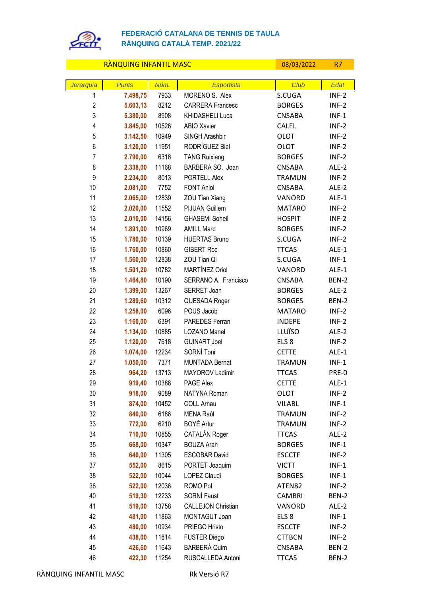

## **FEDERACIÓ CATALANA DE TENNIS DE TAULA RÀNQUING CATALÀ TEMP. 2021/22**

## RÀNQUING INFANTIL MASC 08/03/2022 R7

| Jerarquia      | <b>Punts</b>         | Núm.          | Esportista                                 | Club                       | Edat             |
|----------------|----------------------|---------------|--------------------------------------------|----------------------------|------------------|
| 1              | 7.498,75             | 7933          | MORENO S. Alex                             | S.CUGA                     | $INF-2$          |
| $\overline{2}$ | 5.603,13             | 8212          | <b>CARRERA Francesc</b>                    | <b>BORGES</b>              | $INF-2$          |
| 3              | 5.380,00             | 8908          | KHIDASHELI Luca                            | <b>CNSABA</b>              | $INF-1$          |
| $\overline{4}$ | 3.845,00             | 10526         | <b>ABIO Xavier</b>                         | <b>CALEL</b>               | $INF-2$          |
| 5              | 3.142,50             | 10949         | SINGH Arashbir                             | <b>OLOT</b>                | $INF-2$          |
| 6              | 3.120,00             | 11951         | RODRÍGUEZ Biel                             | <b>OLOT</b>                | $INF-2$          |
| 7              | 2.790,00             | 6318          | <b>TANG Ruixiang</b>                       | <b>BORGES</b>              | $INF-2$          |
| 8              | 2.338,00             | 11168         | BARBERA SO. Joan                           | <b>CNSABA</b>              | ALE-2            |
| 9              | 2.234,00             | 8013          | PORTELL Alex                               | <b>TRAMUN</b>              | $INF-2$          |
| 10             | 2.081,00             | 7752          | <b>FONT Aniol</b>                          | <b>CNSABA</b>              | ALE-2            |
| 11             | 2.065,00             | 12839         | ZOU Tian Xiang                             | VANORD                     | ALE-1            |
| 12             | 2.020,00             | 11552         | PIJUAN Guillem                             | <b>MATARO</b>              | $INF-2$          |
| 13             | 2.010,00             | 14156         | <b>GHASEMI Soheil</b>                      | <b>HOSPIT</b>              | $INF-2$          |
| 14             | 1.891,00             | 10969         | <b>AMILL Marc</b>                          | <b>BORGES</b>              | $INF-2$          |
| 15             | 1.780,00             | 10139         | <b>HUERTAS Bruno</b>                       | S.CUGA                     | $INF-2$          |
| 16             | 1.760,00             | 10860         | <b>GIBERT Roc</b>                          | <b>TTCAS</b>               | ALE-1            |
| 17             | 1.560,00             | 12838         | ZOU Tian Qi                                | S.CUGA                     | $INF-1$          |
| 18             | 1.501,20             | 10782         | MARTÍNEZ Oriol                             | VANORD                     | ALE-1            |
| 19             | 1.464,80             | 10190         | SERRANO A. Francisco                       | <b>CNSABA</b>              | BEN-2            |
| 20             | 1.399,00             | 13267         | SERRET Joan                                | <b>BORGES</b>              | ALE-2            |
| 21             | 1.289,60             | 10312         | QUESADA Roger                              | <b>BORGES</b>              | BEN-2            |
| 22             | 1.258,00             | 6096          | POUS Jacob                                 | <b>MATARO</b>              | $INF-2$          |
| 23             | 1.160,00             | 6391          | PAREDES Ferran                             | <b>INDEPE</b>              | $INF-2$          |
| 24             | 1.134,00             | 10885<br>7618 | <b>LOZANO Manel</b><br><b>GUINART Joel</b> | LLUÏSO<br>ELS <sub>8</sub> | ALE-2            |
| 25<br>26       | 1.120,00<br>1.074,00 | 12234         | SORNÍ Toni                                 | <b>CETTE</b>               | $INF-2$<br>ALE-1 |
| 27             | 1.050,00             | 7371          | <b>MUNTADA Bernat</b>                      | <b>TRAMUN</b>              | $INF-1$          |
| 28             | 964,20               | 13713         | MAYOROV Ladimir                            | <b>TTCAS</b>               | PRE-0            |
| 29             | 919,40               | 10388         | PAGE Alex                                  | <b>CETTE</b>               | ALE-1            |
| 30             | 918,00               | 9089          | NATYNA Roman                               | <b>OLOT</b>                | $INF-2$          |
| 31             | 874,00               | 10452         | <b>COLL Arnau</b>                          | <b>VILABL</b>              | $INF-1$          |
| 32             | 840,00               | 6186          | MENA Raúl                                  | <b>TRAMUN</b>              | $INF-2$          |
| 33             | 772,00               | 6210          | BOYÉ Artur                                 | <b>TRAMUN</b>              | $INF-2$          |
| 34             | 710,00               | 10855         | CATALÁN Roger                              | <b>TTCAS</b>               | ALE-2            |
| 35             | 668,00               | 10347         | <b>BOUZA Aran</b>                          | <b>BORGES</b>              | $INF-1$          |
| 36             | 640,00               | 11305         | <b>ESCOBAR David</b>                       | <b>ESCCTF</b>              | $INF-2$          |
| 37             | 552,00               | 8615          | PORTET Joaquim                             | <b>VICTT</b>               | $INF-1$          |
| 38             | 522,00               | 10044         | <b>LOPEZ Claudi</b>                        | <b>BORGES</b>              | $INF-1$          |
| 38             | 522,00               | 12036         | ROMO Pol                                   | ATEN82                     | $INF-2$          |
| 40             | 519,30               | 12233         | SORNÍ Faust                                | <b>CAMBRI</b>              | BEN-2            |
| 41             | 519,00               | 13758         | <b>CALLEJON Christian</b>                  | VANORD                     | ALE-2            |
| 42             | 481,00               | 11863         | MONTAGUT Joan                              | ELS <sub>8</sub>           | $INF-1$          |
| 43             | 480,00               | 10934         | PRIEGO Hristo                              | <b>ESCCTF</b>              | $INF-2$          |
| 44             | 438,00               | 11814         | <b>FUSTER Diego</b>                        | <b>CTTBCN</b>              | $INF-2$          |
| 45             | 426,60               | 11643         | <b>BARBERÀ Quim</b>                        | <b>CNSABA</b>              | BEN-2            |
| 46             | 422,30               | 11254         | RUSCALLEDA Antoni                          | <b>TTCAS</b>               | BEN-2            |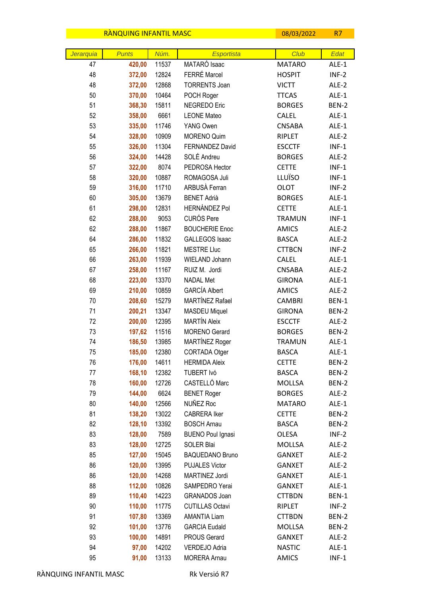|           | RANQUING INFANTIL MASC |                |                                             | 08/03/2022                     | <b>R7</b>      |
|-----------|------------------------|----------------|---------------------------------------------|--------------------------------|----------------|
|           |                        |                |                                             | Club                           |                |
| Jerarquia | <b>Punts</b>           | Núm.           | <b>Esportista</b><br>MATARÓ Isaac           |                                | Edat<br>ALE-1  |
| 47<br>48  | 420,00<br>372,00       | 11537<br>12824 | FERRÉ Marcel                                | <b>MATARO</b><br><b>HOSPIT</b> | $INF-2$        |
| 48        | 372,00                 | 12868          | <b>TORRENTS Joan</b>                        | <b>VICTT</b>                   | ALE-2          |
| 50        | 370,00                 | 10464          | POCH Roger                                  | <b>TTCAS</b>                   | ALE-1          |
| 51        | 368,30                 | 15811          | NEGREDO Eric                                | <b>BORGES</b>                  | BEN-2          |
| 52        | 358,00                 | 6661           | <b>LEONE Mateo</b>                          | <b>CALEL</b>                   | ALE-1          |
| 53        | 335,00                 | 11746          | YANG Owen                                   | <b>CNSABA</b>                  | ALE-1          |
| 54        | 328,00                 | 10909          | <b>MORENO Quim</b>                          | RIPLET                         | ALE-2          |
| 55        | 326,00                 | 11304          | <b>FERNANDEZ David</b>                      | <b>ESCCTF</b>                  | $INF-1$        |
| 56        | 324,00                 | 14428          | SOLÉ Andreu                                 | <b>BORGES</b>                  | ALE-2          |
| 57        | 322,00                 | 8074           | PEDROSA Hector                              | <b>CETTE</b>                   | $INF-1$        |
| 58        | 320,00                 | 10887          | ROMAGOSA Juli                               | LLUÏSO                         | $INF-1$        |
| 59        | 316,00                 | 11710          | ARBUSÀ Ferran                               | <b>OLOT</b>                    | $INF-2$        |
| 60        | 305,00                 | 13679          | <b>BENET Adrià</b>                          | <b>BORGES</b>                  | ALE-1          |
| 61        | 298,00                 | 12831          | <b>HERNÁNDEZ Pol</b>                        | <b>CETTE</b>                   | ALE-1          |
| 62        | 288,00                 | 9053           | <b>CURÓS Pere</b>                           | <b>TRAMUN</b>                  | $INF-1$        |
| 62        | 288,00                 | 11867          | <b>BOUCHERIE Enoc</b>                       | <b>AMICS</b>                   | ALE-2          |
| 64        | 286,00                 | 11832          | <b>GALLEGOS Isaac</b>                       | <b>BASCA</b>                   | ALE-2          |
| 65        | 266,00                 | 11821          | <b>MESTRE Lluc</b>                          | <b>CTTBCN</b>                  | $INF-2$        |
| 66        | 263,00                 | 11939          | WIELAND Johann                              | <b>CALEL</b>                   | ALE-1          |
| 67        | 258,00                 | 11167          | RUIZ M. Jordi                               | <b>CNSABA</b>                  | ALE-2          |
| 68        | 223,00                 | 13370          | <b>NADAL Met</b>                            | <b>GIRONA</b>                  | ALE-1          |
| 69        |                        | 10859          | <b>GARCÍA Albert</b>                        | <b>AMICS</b>                   | ALE-2          |
| 70        | 210,00                 | 15279          | MARTÍNEZ Rafael                             | <b>CAMBRI</b>                  | BEN-1          |
| 71        | 208,60                 | 13347          |                                             |                                |                |
| 72        | 200,21                 | 12395          | <b>MASDEU Miquel</b><br><b>MARTÍN Aleix</b> | <b>GIRONA</b><br><b>ESCCTF</b> | BEN-2          |
| 73        | 200,00<br>197,62       | 11516          | MORENO Gerard                               | <b>BORGES</b>                  | ALE-2<br>BEN-2 |
| 74        | 186,50                 | 13985          | MARTÍNEZ Roger                              | <b>TRAMUN</b>                  | ALE-1          |
| 75        | 185,00                 | 12380          | CORTADA Otger                               | <b>BASCA</b>                   | ALE-1          |
| 76        | 176,00                 | 14611          | <b>HERMIDA Aleix</b>                        | <b>CETTE</b>                   | BEN-2          |
| 77        | 168,10                 | 12382          | TUBERT Ivó                                  | <b>BASCA</b>                   | BEN-2          |
| 78        | 160,00                 | 12726          | CASTELLÓ Marc                               | <b>MOLLSA</b>                  | BEN-2          |
| 79        | 144,00                 | 6624           | <b>BENET Roger</b>                          | <b>BORGES</b>                  | ALE-2          |
| 80        | 140,00                 | 12566          | NUÑEZ Roc                                   | <b>MATARO</b>                  | ALE-1          |
| 81        | 138,20                 | 13022          | <b>CABRERA Iker</b>                         | <b>CETTE</b>                   | BEN-2          |
| 82        | 128,10                 | 13392          | <b>BOSCH Arnau</b>                          | <b>BASCA</b>                   | BEN-2          |
| 83        | 128,00                 | 7589           | <b>BUENO Poul Ignasi</b>                    | OLESA                          | $INF-2$        |
| 83        | 128,00                 | 12725          | SOLER Blai                                  | MOLLSA                         | ALE-2          |
| 85        | 127,00                 | 15045          | <b>BAQUEDANO Bruno</b>                      | <b>GANXET</b>                  | ALE-2          |
| 86        | 120,00                 | 13995          | <b>PUJALES Victor</b>                       | <b>GANXET</b>                  | ALE-2          |
| 86        | 120,00                 | 14268          | MARTINEZ Jordi                              | <b>GANXET</b>                  | ALE-1          |
| 88        | 112,00                 | 10826          | SAMPEDRO Yerai                              | <b>GANXET</b>                  | ALE-1          |
| 89        | 110,40                 | 14223          | GRANADOS Joan                               | <b>CTTBDN</b>                  | BEN-1          |
| 90        | 110,00                 | 11775          | <b>CUTILLAS Octavi</b>                      | RIPLET                         | $INF-2$        |
| 91        | 107,80                 | 13369          | <b>AMANTIA Liam</b>                         | <b>CTTBDN</b>                  | BEN-2          |
| 92        | 101,00                 | 13776          | <b>GARCIA Eudald</b>                        | MOLLSA                         | BEN-2          |
| 93        | 100,00                 | 14891          | PROUS Gerard                                | <b>GANXET</b>                  | ALE-2          |
| 94        | 97,00                  | 14202          | VERDEJO Adria                               | <b>NASTIC</b>                  | ALE-1          |
| 95        | 91,00                  | 13133          | <b>MORERA Arnau</b>                         | AMICS                          | $INF-1$        |
|           |                        |                |                                             |                                |                |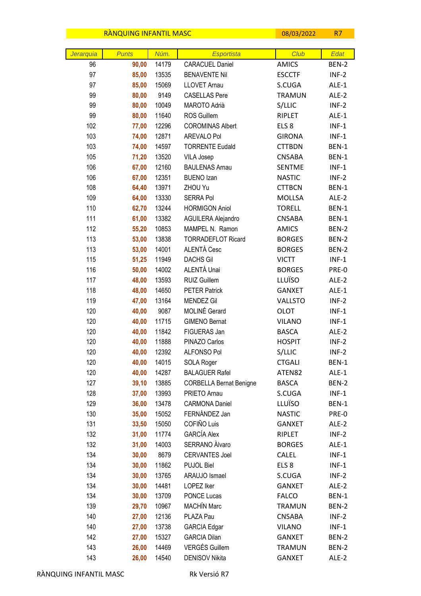|                 | <b>RANQUING INFANTIL MASC</b> |       |                                             | 08/03/2022       | R7            |
|-----------------|-------------------------------|-------|---------------------------------------------|------------------|---------------|
|                 | <b>Punts</b>                  | Núm.  |                                             | Club             |               |
| Jerarquia<br>96 |                               | 14179 | <b>Esportista</b><br><b>CARACUEL Daniel</b> | <b>AMICS</b>     | Edat<br>BEN-2 |
| 97              | 90,00<br>85,00                | 13535 | <b>BENAVENTE Nil</b>                        | <b>ESCCTF</b>    | $INF-2$       |
| 97              | 85,00                         | 15069 | <b>LLOVET Arnau</b>                         | S.CUGA           | $ALE-1$       |
| 99              | 80,00                         | 9149  | <b>CASELLAS Pere</b>                        | <b>TRAMUN</b>    | ALE-2         |
| 99              | 80,00                         | 10049 | MAROTO Adrià                                | S/LLIC           | $INF-2$       |
| 99              | 80,00                         | 11640 | ROS Guillem                                 | RIPLET           | ALE-1         |
| 102             | 77,00                         | 12296 | <b>COROMINAS Albert</b>                     | ELS <sub>8</sub> | $INF-1$       |
| 103             | 74,00                         | 12871 | AREVALO Pol                                 | <b>GIRONA</b>    | $INF-1$       |
| 103             | 74,00                         | 14597 | <b>TORRENTE Eudald</b>                      | <b>CTTBDN</b>    | <b>BEN-1</b>  |
| 105             | 71,20                         | 13520 | VILA Josep                                  | <b>CNSABA</b>    | BEN-1         |
| 106             | 67,00                         | 12160 | <b>BAULENAS Arnau</b>                       | <b>SENTME</b>    | $INF-1$       |
| 106             | 67,00                         | 12351 | <b>BUENO Izan</b>                           | <b>NASTIC</b>    | $INF-2$       |
| 108             | 64,40                         | 13971 | ZHOU Yu                                     | <b>CTTBCN</b>    | BEN-1         |
| 109             | 64,00                         | 13330 | <b>SERRA Pol</b>                            | <b>MOLLSA</b>    | ALE-2         |
| 110             | 62,70                         | 13244 | <b>HORMIGON Aniol</b>                       | <b>TORELL</b>    | <b>BEN-1</b>  |
| 111             | 61,00                         | 13382 | AGUILERA Alejandro                          | <b>CNSABA</b>    | BEN-1         |
| 112             | 55,20                         | 10853 | MAMPEL N. Ramon                             | <b>AMICS</b>     | BEN-2         |
| 113             | 53,00                         | 13838 | <b>TORRADEFLOT Ricard</b>                   | <b>BORGES</b>    | BEN-2         |
| 113             | 53,00                         | 14001 | ALENTÀ Cesc                                 | <b>BORGES</b>    | BEN-2         |
| 115             | 51,25                         | 11949 | <b>DACHS Gil</b>                            | <b>VICTT</b>     | $INF-1$       |
| 116             | 50,00                         | 14002 | ALENTÀ Unai                                 | <b>BORGES</b>    | PRE-0         |
| 117             | 48,00                         | 13593 | <b>RUIZ Guillem</b>                         | LLUÏSO           | ALE-2         |
| 118             | 48,00                         | 14650 | <b>PETER Patrick</b>                        | <b>GANXET</b>    | ALE-1         |
| 119             | 47,00                         | 13164 | <b>MENDEZ Gil</b>                           | <b>VALLSTO</b>   | $INF-2$       |
| 120             | 40,00                         | 9087  | MOLINÉ Gerard                               | <b>OLOT</b>      | $INF-1$       |
| 120             | 40,00                         | 11715 | <b>GIMENO Bernat</b>                        | <b>VILANO</b>    | $INF-1$       |
| 120             | 40,00                         | 11842 | FIGUERAS Jan                                | <b>BASCA</b>     | ALE-2         |
| 120             | 40,00                         | 11888 | PINAZO Carlos                               | <b>HOSPIT</b>    | $INF-2$       |
| 120             | 40,00                         | 12392 | <b>ALFONSO Pol</b>                          | S/LLIC           | $INF-2$       |
| 120             | 40,00                         | 14015 | SOLA Roger                                  | <b>CTGALI</b>    | BEN-1         |
| 120             | 40,00                         | 14287 | <b>BALAGUER Rafel</b>                       | ATEN82           | ALE-1         |
| 127             | 39,10                         | 13885 | <b>CORBELLA Bernat Benigne</b>              | <b>BASCA</b>     | BEN-2         |
| 128             | 37,00                         | 13993 | PRIETO Arnau                                | S.CUGA           | $INF-1$       |
| 129             | 36,00                         | 13478 | <b>CARMONA Daniel</b>                       | LLUÏSO           | BEN-1         |
| 130             | 35,00                         | 15052 | FERNÁNDEZ Jan                               | <b>NASTIC</b>    | PRE-0         |
| 131             | 33,50                         | 15050 | COFIÑO Luis                                 | <b>GANXET</b>    | ALE-2         |
| 132             | 31,00                         | 11774 | <b>GARCÍA Alex</b>                          | RIPLET           | $INF-2$       |
| 132             | 31,00                         | 14003 | SERRANO Àlvaro                              | <b>BORGES</b>    | ALE-1         |
| 134             | 30,00                         | 8679  | <b>CERVANTES Joel</b>                       | <b>CALEL</b>     | $INF-1$       |
| 134             | 30,00                         | 11862 | PUJOL Biel                                  | ELS <sub>8</sub> | $INF-1$       |
| 134             | 30,00                         | 13765 | ARAUJO Ismael                               | S.CUGA           | $INF-2$       |
| 134             | 30,00                         | 14481 | LOPEZ Iker                                  | <b>GANXET</b>    | ALE-2         |
| 134             | 30,00                         | 13709 | <b>PONCE Lucas</b>                          | <b>FALCO</b>     | BEN-1         |
| 139             | 29,70                         | 10967 | <b>MACHÍN Marc</b>                          | <b>TRAMUN</b>    | BEN-2         |
| 140             | 27,00                         | 12136 | PLAZA Pau                                   | <b>CNSABA</b>    | $INF-2$       |
| 140             | 27,00                         | 13738 | <b>GARCIA Edgar</b>                         | <b>VILANO</b>    | $INF-1$       |
| 142             | 27,00                         | 15327 | <b>GARCIA Dilan</b>                         | <b>GANXET</b>    | BEN-2         |
| 143             | 26,00                         | 14469 | <b>VERGÉS Guillem</b>                       | <b>TRAMUN</b>    | BEN-2         |
| 143             | 26,00                         | 14540 | DENISOV Nikita                              | <b>GANXET</b>    | ALE-2         |

 $\overline{\phantom{a}}$